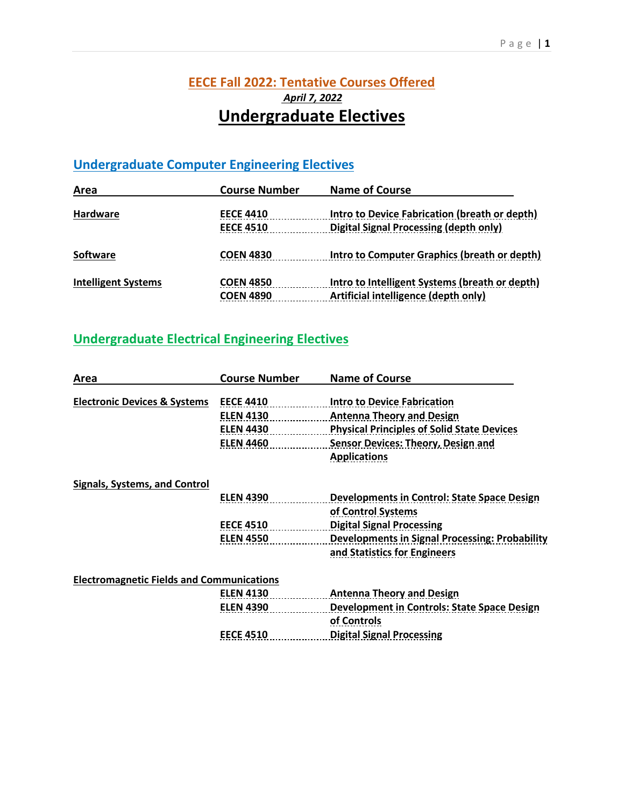## **EECE Fall 2022: Tentative Courses Offered** *April 7, 2022* **Undergraduate Electives**

### **Undergraduate Computer Engineering Electives**

| Area                       | <b>Course Number</b> | <b>Name of Course</b>                          |
|----------------------------|----------------------|------------------------------------------------|
| Hardware                   | <b>EECE 4410</b>     | Intro to Device Fabrication (breath or depth)  |
|                            | <b>EECE 4510</b>     | <b>Digital Signal Processing (depth only)</b>  |
| <b>Software</b>            | <b>COEN 4830</b>     | Intro to Computer Graphics (breath or depth)   |
| <b>Intelligent Systems</b> | <b>COEN 4850</b>     | Intro to Intelligent Systems (breath or depth) |
|                            | <b>COEN 4890</b>     | Artificial intelligence (depth only)           |

### **Undergraduate Electrical Engineering Electives**

| Area                                             | <b>Course Number</b> | <b>Name of Course</b>                                 |
|--------------------------------------------------|----------------------|-------------------------------------------------------|
| <b>Electronic Devices &amp; Systems</b>          | <b>EECE 4410</b>     | <b>Intro to Device Fabrication</b>                    |
|                                                  | <b>ELEN 4130</b>     | <b>Antenna Theory and Design</b>                      |
|                                                  | <b>ELEN 4430</b>     | <b>Physical Principles of Solid State Devices</b>     |
|                                                  | <b>ELEN 4460</b>     | Sensor Devices: Theory, Design and                    |
|                                                  |                      | <b>Applications</b>                                   |
| <b>Signals, Systems, and Control</b>             |                      |                                                       |
|                                                  | <b>ELEN 4390</b>     | <b>Developments in Control: State Space Design</b>    |
|                                                  |                      | of Control Systems                                    |
|                                                  | <b>EECE 4510</b>     | <b>Digital Signal Processing</b>                      |
|                                                  | <b>ELEN 4550</b>     | <b>Developments in Signal Processing: Probability</b> |
|                                                  |                      | and Statistics for Engineers                          |
| <b>Electromagnetic Fields and Communications</b> |                      |                                                       |
|                                                  | <b>ELEN 4130</b>     | <b>Antenna Theory and Design</b>                      |
|                                                  | <b>ELEN 4390</b>     | <b>Development in Controls: State Space Design</b>    |
|                                                  |                      | of Controls                                           |
|                                                  | <b>EECE 4510</b>     | <b>Digital Signal Processing</b>                      |
|                                                  |                      |                                                       |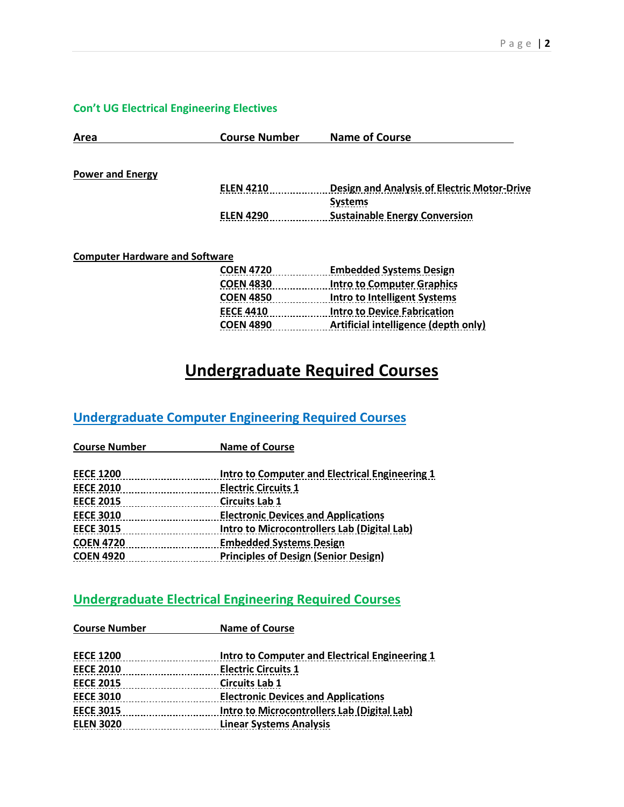#### **Con't UG Electrical Engineering Electives**

| Area                                  | <b>Course Number</b> | <b>Name of Course</b>                              |
|---------------------------------------|----------------------|----------------------------------------------------|
| <b>Power and Energy</b>               |                      |                                                    |
|                                       | <b>ELEN 4210</b>     | <b>Design and Analysis of Electric Motor-Drive</b> |
|                                       |                      | <b>Systems</b>                                     |
|                                       | <b>ELEN 4290</b>     | <b>Sustainable Energy Conversion</b>               |
|                                       |                      |                                                    |
| <b>Computer Hardware and Software</b> |                      |                                                    |
|                                       | <b>COEN 4720</b>     | <b>Embedded Systems Design</b>                     |
|                                       | <b>COEN 4830</b>     | <b>Intro to Computer Graphics</b>                  |
|                                       | <b>COEN 4850</b>     | Intro to Intelligent Systems                       |
|                                       | <b>EECE 4410</b>     | <b>Intro to Device Fabrication</b>                 |
|                                       | <b>COEN 4890</b>     | Artificial intelligence (depth only)               |

# **Undergraduate Required Courses**

### **Undergraduate Computer Engineering Required Courses**

| <b>Course Number</b> | <b>Name of Course</b>                          |  |
|----------------------|------------------------------------------------|--|
| <b>EECE 1200</b>     | Intro to Computer and Electrical Engineering 1 |  |
| <b>EECE 2010</b>     | <b>Electric Circuits 1</b>                     |  |
| <b>EECE 2015</b>     | <b>Circuits Lab 1</b>                          |  |
| <b>EECE 3010</b>     | <b>Electronic Devices and Applications</b>     |  |
| <b>EECE 3015</b>     | Intro to Microcontrollers Lab (Digital Lab)    |  |
| <b>COEN 4720</b>     | <b>Embedded Systems Design</b>                 |  |
| <b>COEN 4920</b>     | <b>Principles of Design (Senior Design)</b>    |  |

#### **Undergraduate Electrical Engineering Required Courses**

**Course Number Name of Course**

| <b>EECE 1200</b> | Intro to Computer and Electrical Engineering 1 |
|------------------|------------------------------------------------|
| <b>EECE 2010</b> | <b>Electric Circuits 1</b>                     |
| <b>EECE 2015</b> | <b>Circuits Lab 1</b>                          |
| <b>EECE 3010</b> | <b>Electronic Devices and Applications</b>     |
| <b>EECE 3015</b> | Intro to Microcontrollers Lab (Digital Lab)    |
| <b>ELEN 3020</b> | <b>Linear Systems Analysis</b>                 |
|                  |                                                |